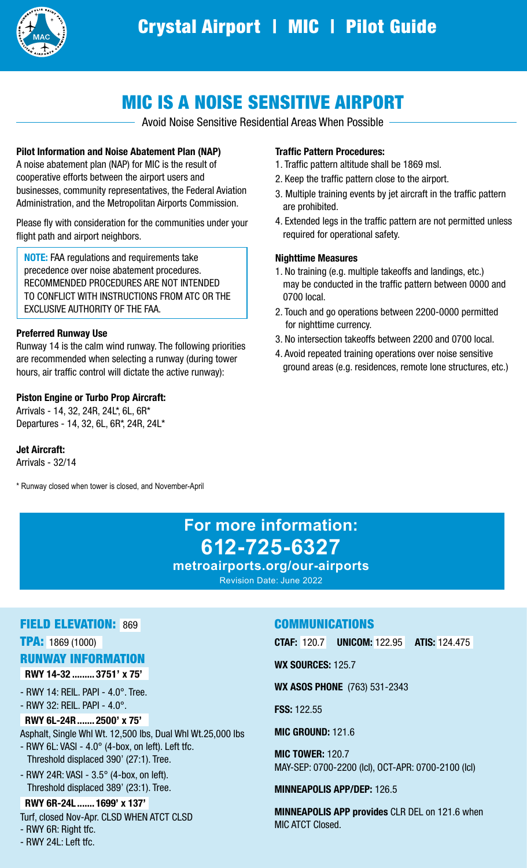

# MIC IS A NOISE SENSITIVE AIRPORT

- Avoid Noise Sensitive Residential Areas When Possible -

#### Pilot Information and Noise Abatement Plan (NAP)

A noise abatement plan (NAP) for MIC is the result of cooperative efforts between the airport users and businesses, community representatives, the Federal Aviation Administration, and the Metropolitan Airports Commission.

Please fly with consideration for the communities under your flight path and airport neighbors.

NOTE: FAA regulations and requirements take precedence over noise abatement procedures. RECOMMENDED PROCEDURES ARE NOT INTENDED TO CONFLICT WITH INSTRUCTIONS FROM ATC OR THE EXCLUSIVE AUTHORITY OF THE FAA.

#### Preferred Runway Use

Runway 14 is the calm wind runway. The following priorities are recommended when selecting a runway (during tower hours, air traffic control will dictate the active runway):

#### Piston Engine or Turbo Prop Aircraft:

Arrivals - 14, 32, 24R, 24L\*, 6L, 6R\* Departures - 14, 32, 6L, 6R\*, 24R, 24L\*

Jet Aircraft:

Arrivals - 32/14

\* Runway closed when tower is closed, and November-April

#### Traffic Pattern Procedures:

- 1. Traffic pattern altitude shall be 1869 msl.
- 2. Keep the traffic pattern close to the airport.
- 3. Multiple training events by jet aircraft in the traffic pattern are prohibited.
- 4. Extended legs in the traffic pattern are not permitted unless required for operational safety.

#### Nighttime Measures

- 1. No training (e.g. multiple takeoffs and landings, etc.) may be conducted in the traffic pattern between 0000 and 0700 local.
- 2. Touch and go operations between 2200-0000 permitted for nighttime currency.
- 3. No intersection takeoffs between 2200 and 0700 local.
- 4. Avoid repeated training operations over noise sensitive ground areas (e.g. residences, remote lone structures, etc.)

# **For more information: 612-725-6327**

**metroairports.org/our-airports** Revision Date: June 2022

#### FIELD ELEVATION: 869

TPA: 1869 (1000)

### RUNWAY INFORMATION

RWY 14-32 ......... 3751' x 75'

- RWY 14: REIL. PAPI - 4.0°. Tree. - RWY 32: REIL. PAPI - 4.0°.

 RWY 6L-24R....... 2500' x 75' Asphalt, Single Whl Wt. 12,500 lbs, Dual Whl Wt.25,000 lbs

- RWY 6L: VASI  $4.0^\circ$  (4-box, on left). Left tfc. Threshold displaced 390' (27:1). Tree.
- RWY 24R: VASI 3.5° (4-box, on left). Threshold displaced 389' (23:1). Tree.

 RWY 6R-24L ....... 1699' x 137' Turf, closed Nov-Apr. CLSD WHEN ATCT CLSD

- RWY 6R: Right tfc.

- RWY 24L: Left tfc.

## COMMUNICATIONS

CTAF: 120.7 UNICOM: 122.95 ATIS: 124.475

**WX SOURCES: 125.7** 

WX ASOS PHONE (763) 531-2343

FSS: 122.55

MIC GROUND: 121.6

MIC TOWER: 120.7 MAY-SEP: 0700-2200 (lcl), OCT-APR: 0700-2100 (lcl)

#### MINNEAPOLIS APP/DEP: 126.5

MINNEAPOLIS APP provides CLR DEL on 121.6 when MIC ATCT Closed.